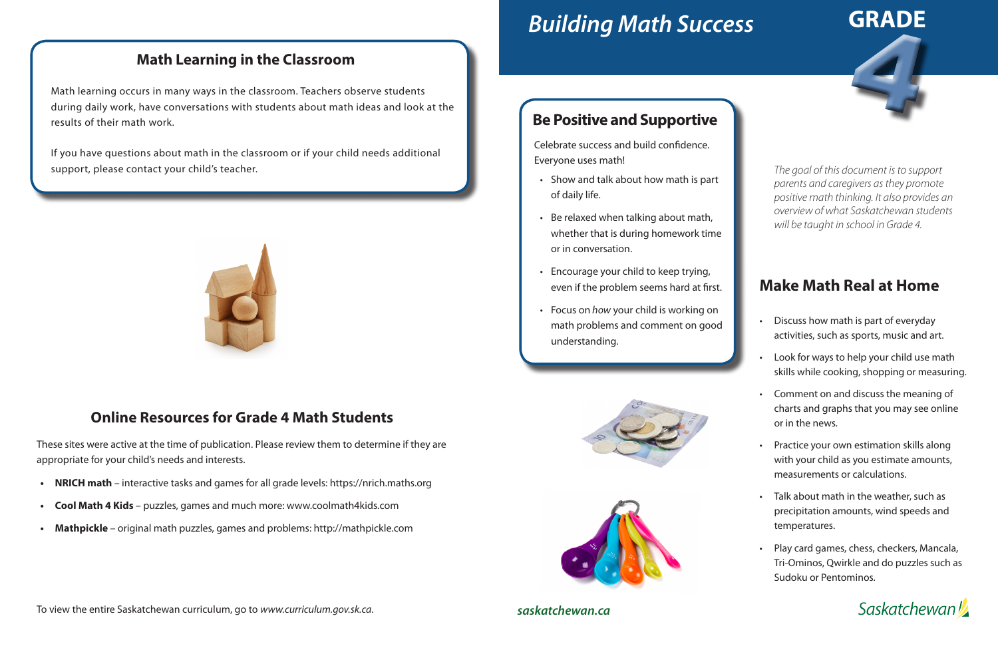# *Building Math Success*

# **Make Math Real at Home**

- Discuss how math is part of everyday activities, such as sports, music and art.
- Look for ways to help your child use math skills while cooking, shopping or measuring.
- Comment on and discuss the meaning of charts and graphs that you may see online or in the news.
- Practice your own estimation skills along with your child as you estimate amounts, measurements or calculations.
- Talk about math in the weather, such as precipitation amounts, wind speeds and temperatures.
- Play card games, chess, checkers, Mancala, Tri-Ominos, Qwirkle and do puzzles such as Sudoku or Pentominos.





*saskatchewan.ca*

*The goal of this document is to support parents and caregivers as they promote positive math thinking. It also provides an overview of what Saskatchewan students will be taught in school in Grade 4.*

### **Be Positive and Supportive**

Celebrate success and build confidence. Everyone uses math!

- Show and talk about how math is part of daily life.
- Be relaxed when talking about math, whether that is during homework time or in conversation.
- Encourage your child to keep trying, even if the problem seems hard at first.
- Focus on *how* your child is working on math problems and comment on good understanding.





#### **Math Learning in the Classroom**

Math learning occurs in many ways in the classroom. Teachers observe students during daily work, have conversations with students about math ideas and look at the results of their math work.

If you have questions about math in the classroom or if your child needs additional support, please contact your child's teacher.



#### **Online Resources for Grade 4 Math Students**

These sites were active at the time of publication. Please review them to determine if they are appropriate for your child's needs and interests.

- **• NRICH math**  interactive tasks and games for all grade levels: https://nrich.maths.org
- **• Cool Math 4 Kids**  puzzles, games and much more: www.coolmath4kids.com
- **• Mathpickle**  original math puzzles, games and problems: http://mathpickle.com

To view the entire Saskatchewan curriculum, go to *www.curriculum.gov.sk.ca*.